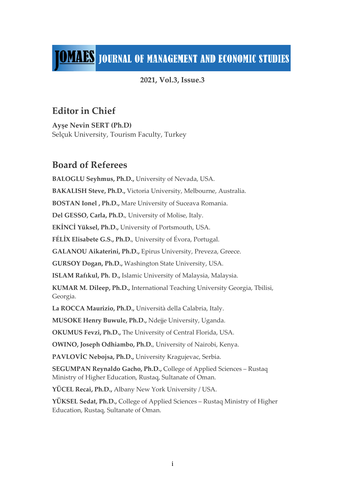# **TOMAES** JOURNAL OF MANAGEMENT AND ECONOMIC STUDIES

### **2021, Vol.3, Issue.3**

## **Editor in Chief**

**Ayşe Nevin SERT (Ph.D)** Selçuk University, Tourism Faculty, Turkey

## **Board of Referees**

**BALOGLU Seyhmus, Ph.D.,** University of Nevada, USA. **BAKALISH Steve, Ph.D.,** Victoria University, Melbourne, Australia. **BOSTAN Ionel , Ph.D.,** Mare University of Suceava Romania. **Del GESSO, Carla, Ph.D.**, University of Molise, Italy. **EKİNCİ Yüksel, Ph.D.,** University of Portsmouth, USA. **FÉLİX Elisabete G.S., Ph.D.**, University of Évora, Portugal. **GALANOU Aikaterini, Ph.D.,** Epirus University, Preveza, Greece. **GURSOY Dogan, Ph.D.,** Washington State University, USA. **ISLAM Rafıkul, Ph. D.,** Islamic University of Malaysia, Malaysia. **KUMAR M. Dileep, Ph.D.,** International Teaching University Georgia, Tbilisi, Georgia. **La ROCCA Maurizio, Ph.D.,** Università della Calabria, Italy. **MUSOKE Henry Buwule, Ph.D.,** Ndejje University, Uganda. **OKUMUS Fevzi, Ph.D.,** The University of Central Florida, USA. **OWINO, Joseph Odhiambo, Ph.D.**, University of Nairobi, Kenya. **PAVLOVİC Nebojsa, Ph.D.,** University Kragujevac, Serbia. **SEGUMPAN Reynaldo Gacho, Ph.D.,** College of Applied Sciences – Rustaq Ministry of Higher Education, Rustaq, Sultanate of Oman. **YÜCEL Recai, Ph.D.,** Albany New York University / USA. **YÜKSEL Sedat, Ph.D.,** College of Applied Sciences – Rustaq Ministry of Higher Education, Rustaq, Sultanate of Oman.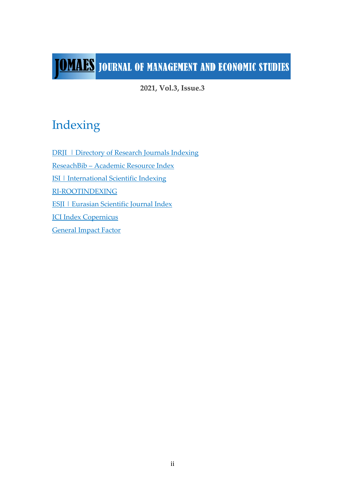# **TOMALES** JOURNAL OF MANAGEMENT AND ECONOMIC STUDIES

**2021, Vol.3, Issue.3**

## Indexing

DRJI | Directory of Research Journals Indexing ReseachBib – Academic Resource Index ISI | International Scientific Indexing RI-ROOTINDEXING ESJI | Eurasian Scientific Journal Index ICI Index Copernicus General Impact Factor